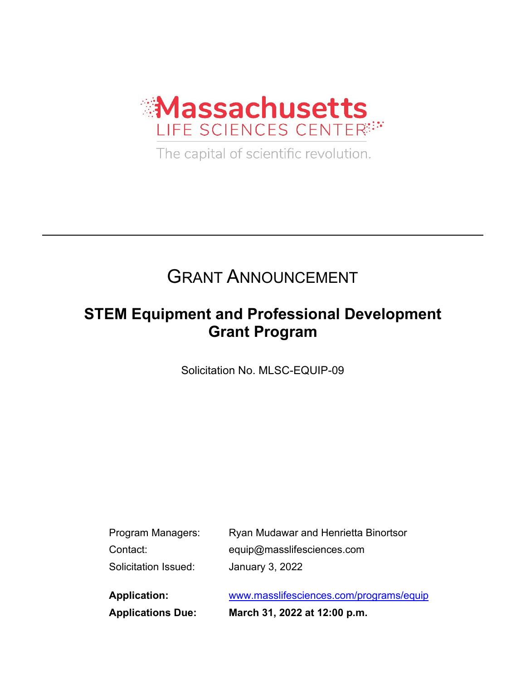

The capital of scientific revolution.

# GRANT ANNOUNCEMENT

## **STEM Equipment and Professional Development Grant Program**

Solicitation No. MLSC-EQUIP-09

| Program Managers:    | Ryan Mudawar and Henrietta Binortsor |
|----------------------|--------------------------------------|
| Contact:             | equip@masslifesciences.com           |
| Solicitation Issued: | January 3, 2022                      |
|                      |                                      |

**Application:** [www.masslifesciences.com/programs/equip](http://www.masslifesciences.com/programs/equip) **Applications Due: March 31, 2022 at 12:00 p.m.**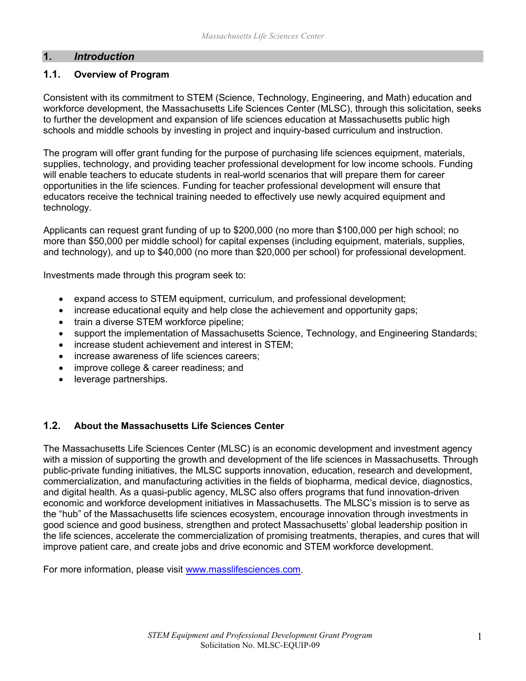#### **1.** *Introduction*

#### **1.1. Overview of Program**

Consistent with its commitment to STEM (Science, Technology, Engineering, and Math) education and workforce development, the Massachusetts Life Sciences Center (MLSC), through this solicitation, seeks to further the development and expansion of life sciences education at Massachusetts public high schools and middle schools by investing in project and inquiry-based curriculum and instruction.

The program will offer grant funding for the purpose of purchasing life sciences equipment, materials, supplies, technology, and providing teacher professional development for low income schools. Funding will enable teachers to educate students in real-world scenarios that will prepare them for career opportunities in the life sciences. Funding for teacher professional development will ensure that educators receive the technical training needed to effectively use newly acquired equipment and technology.

Applicants can request grant funding of up to \$200,000 (no more than \$100,000 per high school; no more than \$50,000 per middle school) for capital expenses (including equipment, materials, supplies, and technology), and up to \$40,000 (no more than \$20,000 per school) for professional development.

Investments made through this program seek to:

- expand access to STEM equipment, curriculum, and professional development;
- increase educational equity and help close the achievement and opportunity gaps;
- train a diverse STEM workforce pipeline;
- support the implementation of Massachusetts Science, Technology, and Engineering Standards;
- increase student achievement and interest in STEM:
- increase awareness of life sciences careers;
- improve college & career readiness; and
- leverage partnerships.

#### **1.2. About the Massachusetts Life Sciences Center**

The Massachusetts Life Sciences Center (MLSC) is an economic development and investment agency with a mission of supporting the growth and development of the life sciences in Massachusetts. Through public-private funding initiatives, the MLSC supports innovation, education, research and development, commercialization, and manufacturing activities in the fields of biopharma, medical device, diagnostics, and digital health. As a quasi-public agency, MLSC also offers programs that fund innovation-driven economic and workforce development initiatives in Massachusetts. The MLSC's mission is to serve as the "hub" of the Massachusetts life sciences ecosystem, encourage innovation through investments in good science and good business, strengthen and protect Massachusetts' global leadership position in the life sciences, accelerate the commercialization of promising treatments, therapies, and cures that will improve patient care, and create jobs and drive economic and STEM workforce development.

For more information, please visit [www.masslifesciences.com.](http://www.masslifesciences.com/)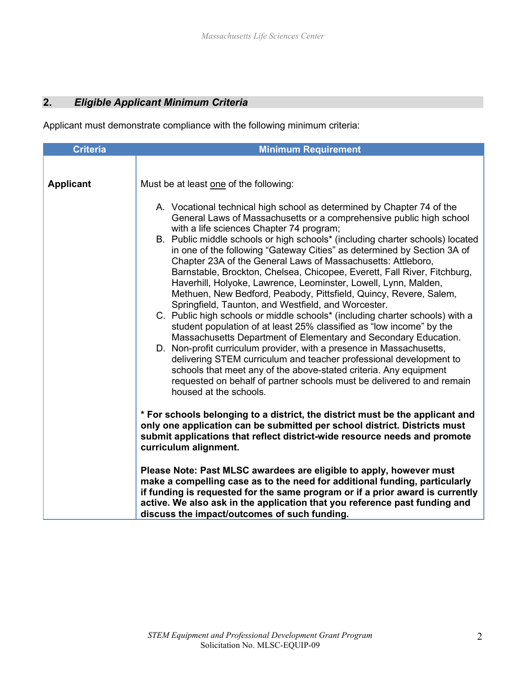### **2.** *Eligible Applicant Minimum Criteria*

Applicant must demonstrate compliance with the following minimum criteria:

| <b>Criteria</b>  | <b>Minimum Requirement</b>                                                                                                                                                                                                                                                                                                                                                                                                                                                                                                                                                                                                                                                 |  |
|------------------|----------------------------------------------------------------------------------------------------------------------------------------------------------------------------------------------------------------------------------------------------------------------------------------------------------------------------------------------------------------------------------------------------------------------------------------------------------------------------------------------------------------------------------------------------------------------------------------------------------------------------------------------------------------------------|--|
| <b>Applicant</b> | Must be at least one of the following:<br>A. Vocational technical high school as determined by Chapter 74 of the<br>General Laws of Massachusetts or a comprehensive public high school<br>with a life sciences Chapter 74 program;<br>B. Public middle schools or high schools* (including charter schools) located<br>in one of the following "Gateway Cities" as determined by Section 3A of<br>Chapter 23A of the General Laws of Massachusetts: Attleboro,<br>Barnstable, Brockton, Chelsea, Chicopee, Everett, Fall River, Fitchburg,<br>Haverhill, Holyoke, Lawrence, Leominster, Lowell, Lynn, Malden,                                                             |  |
|                  | Methuen, New Bedford, Peabody, Pittsfield, Quincy, Revere, Salem,<br>Springfield, Taunton, and Westfield, and Worcester.<br>C. Public high schools or middle schools* (including charter schools) with a<br>student population of at least 25% classified as "low income" by the<br>Massachusetts Department of Elementary and Secondary Education.<br>D. Non-profit curriculum provider, with a presence in Massachusetts,<br>delivering STEM curriculum and teacher professional development to<br>schools that meet any of the above-stated criteria. Any equipment<br>requested on behalf of partner schools must be delivered to and remain<br>housed at the schools. |  |
|                  | * For schools belonging to a district, the district must be the applicant and<br>only one application can be submitted per school district. Districts must<br>submit applications that reflect district-wide resource needs and promote<br>curriculum alignment.                                                                                                                                                                                                                                                                                                                                                                                                           |  |
|                  | Please Note: Past MLSC awardees are eligible to apply, however must<br>make a compelling case as to the need for additional funding, particularly<br>if funding is requested for the same program or if a prior award is currently<br>active. We also ask in the application that you reference past funding and<br>discuss the impact/outcomes of such funding.                                                                                                                                                                                                                                                                                                           |  |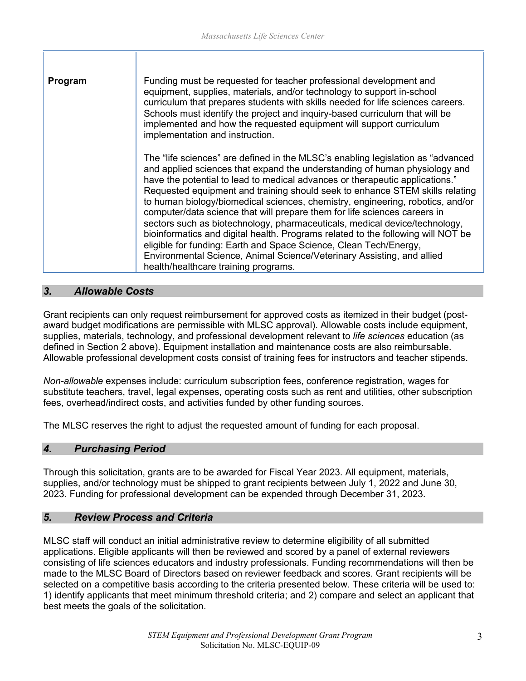| Program | Funding must be requested for teacher professional development and<br>equipment, supplies, materials, and/or technology to support in-school<br>curriculum that prepares students with skills needed for life sciences careers.<br>Schools must identify the project and inquiry-based curriculum that will be<br>implemented and how the requested equipment will support curriculum<br>implementation and instruction.                                                                                                                                                                                                                                                                                                                                                                                                                               |
|---------|--------------------------------------------------------------------------------------------------------------------------------------------------------------------------------------------------------------------------------------------------------------------------------------------------------------------------------------------------------------------------------------------------------------------------------------------------------------------------------------------------------------------------------------------------------------------------------------------------------------------------------------------------------------------------------------------------------------------------------------------------------------------------------------------------------------------------------------------------------|
|         | The "life sciences" are defined in the MLSC's enabling legislation as "advanced"<br>and applied sciences that expand the understanding of human physiology and<br>have the potential to lead to medical advances or therapeutic applications."<br>Requested equipment and training should seek to enhance STEM skills relating<br>to human biology/biomedical sciences, chemistry, engineering, robotics, and/or<br>computer/data science that will prepare them for life sciences careers in<br>sectors such as biotechnology, pharmaceuticals, medical device/technology,<br>bioinformatics and digital health. Programs related to the following will NOT be<br>eligible for funding: Earth and Space Science, Clean Tech/Energy,<br>Environmental Science, Animal Science/Veterinary Assisting, and allied<br>health/healthcare training programs. |

#### *3. Allowable Costs*

Grant recipients can only request reimbursement for approved costs as itemized in their budget (postaward budget modifications are permissible with MLSC approval). Allowable costs include equipment, supplies, materials, technology, and professional development relevant to *life sciences* education (as defined in Section 2 above). Equipment installation and maintenance costs are also reimbursable. Allowable professional development costs consist of training fees for instructors and teacher stipends.

*Non-allowable* expenses include: curriculum subscription fees, conference registration, wages for substitute teachers, travel, legal expenses, operating costs such as rent and utilities, other subscription fees, overhead/indirect costs, and activities funded by other funding sources.

The MLSC reserves the right to adjust the requested amount of funding for each proposal.

#### *4. Purchasing Period*

Through this solicitation, grants are to be awarded for Fiscal Year 2023. All equipment, materials, supplies, and/or technology must be shipped to grant recipients between July 1, 2022 and June 30, 2023. Funding for professional development can be expended through December 31, 2023.

#### *5. Review Process and Criteria*

MLSC staff will conduct an initial administrative review to determine eligibility of all submitted applications. Eligible applicants will then be reviewed and scored by a panel of external reviewers consisting of life sciences educators and industry professionals. Funding recommendations will then be made to the MLSC Board of Directors based on reviewer feedback and scores. Grant recipients will be selected on a competitive basis according to the criteria presented below. These criteria will be used to: 1) identify applicants that meet minimum threshold criteria; and 2) compare and select an applicant that best meets the goals of the solicitation.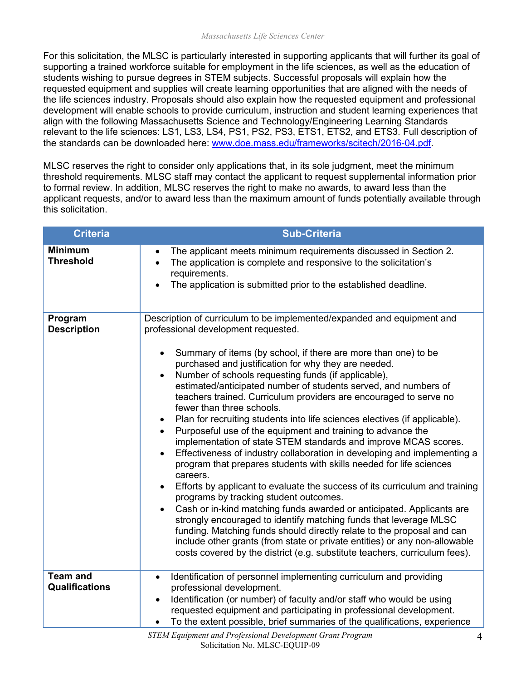For this solicitation, the MLSC is particularly interested in supporting applicants that will further its goal of supporting a trained workforce suitable for employment in the life sciences, as well as the education of students wishing to pursue degrees in STEM subjects. Successful proposals will explain how the requested equipment and supplies will create learning opportunities that are aligned with the needs of the life sciences industry. Proposals should also explain how the requested equipment and professional development will enable schools to provide curriculum, instruction and student learning experiences that align with the following Massachusetts Science and Technology/Engineering Learning Standards relevant to the life sciences: LS1, LS3, LS4, PS1, PS2, PS3, ETS1, ETS2, and ETS3. Full description of the standards can be downloaded here: [www.doe.mass.edu/frameworks/scitech/2016-04.pdf.](http://www.doe.mass.edu/frameworks/scitech/2016-04.pdf)

MLSC reserves the right to consider only applications that, in its sole judgment, meet the minimum threshold requirements. MLSC staff may contact the applicant to request supplemental information prior to formal review. In addition, MLSC reserves the right to make no awards, to award less than the applicant requests, and/or to award less than the maximum amount of funds potentially available through this solicitation.

| Criteria                                 | <b>Sub-Criteria</b>                                                                                                                                                                                                                                                                                                                                                                                                                                                                                                                                                                                                                                                                                                                                                                                                                                                                                                                                                                                                                                                                                                                                                                                                                                                                                                                                                                                    |
|------------------------------------------|--------------------------------------------------------------------------------------------------------------------------------------------------------------------------------------------------------------------------------------------------------------------------------------------------------------------------------------------------------------------------------------------------------------------------------------------------------------------------------------------------------------------------------------------------------------------------------------------------------------------------------------------------------------------------------------------------------------------------------------------------------------------------------------------------------------------------------------------------------------------------------------------------------------------------------------------------------------------------------------------------------------------------------------------------------------------------------------------------------------------------------------------------------------------------------------------------------------------------------------------------------------------------------------------------------------------------------------------------------------------------------------------------------|
| <b>Minimum</b><br><b>Threshold</b>       | The applicant meets minimum requirements discussed in Section 2.<br>$\bullet$<br>The application is complete and responsive to the solicitation's<br>$\bullet$<br>requirements.<br>The application is submitted prior to the established deadline.                                                                                                                                                                                                                                                                                                                                                                                                                                                                                                                                                                                                                                                                                                                                                                                                                                                                                                                                                                                                                                                                                                                                                     |
| Program<br><b>Description</b>            | Description of curriculum to be implemented/expanded and equipment and<br>professional development requested.<br>Summary of items (by school, if there are more than one) to be<br>purchased and justification for why they are needed.<br>Number of schools requesting funds (if applicable),<br>estimated/anticipated number of students served, and numbers of<br>teachers trained. Curriculum providers are encouraged to serve no<br>fewer than three schools.<br>Plan for recruiting students into life sciences electives (if applicable).<br>Purposeful use of the equipment and training to advance the<br>implementation of state STEM standards and improve MCAS scores.<br>Effectiveness of industry collaboration in developing and implementing a<br>$\bullet$<br>program that prepares students with skills needed for life sciences<br>careers.<br>Efforts by applicant to evaluate the success of its curriculum and training<br>$\bullet$<br>programs by tracking student outcomes.<br>Cash or in-kind matching funds awarded or anticipated. Applicants are<br>$\bullet$<br>strongly encouraged to identify matching funds that leverage MLSC<br>funding. Matching funds should directly relate to the proposal and can<br>include other grants (from state or private entities) or any non-allowable<br>costs covered by the district (e.g. substitute teachers, curriculum fees). |
| <b>Team and</b><br><b>Qualifications</b> | Identification of personnel implementing curriculum and providing<br>$\bullet$<br>professional development.<br>Identification (or number) of faculty and/or staff who would be using<br>$\bullet$<br>requested equipment and participating in professional development.<br>To the extent possible, brief summaries of the qualifications, experience<br>$\bullet$                                                                                                                                                                                                                                                                                                                                                                                                                                                                                                                                                                                                                                                                                                                                                                                                                                                                                                                                                                                                                                      |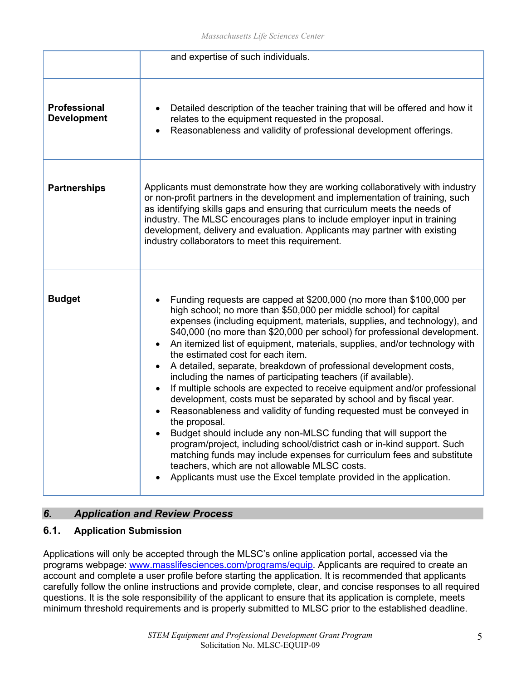|                                           | and expertise of such individuals.                                                                                                                                                                                                                                                                                                                                                                                                                                                                                                                                                                                                                                                                                                                                                                                                                                                                                                                                                                                                                                                                                                                                                                                          |
|-------------------------------------------|-----------------------------------------------------------------------------------------------------------------------------------------------------------------------------------------------------------------------------------------------------------------------------------------------------------------------------------------------------------------------------------------------------------------------------------------------------------------------------------------------------------------------------------------------------------------------------------------------------------------------------------------------------------------------------------------------------------------------------------------------------------------------------------------------------------------------------------------------------------------------------------------------------------------------------------------------------------------------------------------------------------------------------------------------------------------------------------------------------------------------------------------------------------------------------------------------------------------------------|
| <b>Professional</b><br><b>Development</b> | Detailed description of the teacher training that will be offered and how it<br>$\bullet$<br>relates to the equipment requested in the proposal.<br>Reasonableness and validity of professional development offerings.<br>$\bullet$                                                                                                                                                                                                                                                                                                                                                                                                                                                                                                                                                                                                                                                                                                                                                                                                                                                                                                                                                                                         |
| <b>Partnerships</b>                       | Applicants must demonstrate how they are working collaboratively with industry<br>or non-profit partners in the development and implementation of training, such<br>as identifying skills gaps and ensuring that curriculum meets the needs of<br>industry. The MLSC encourages plans to include employer input in training<br>development, delivery and evaluation. Applicants may partner with existing<br>industry collaborators to meet this requirement.                                                                                                                                                                                                                                                                                                                                                                                                                                                                                                                                                                                                                                                                                                                                                               |
| <b>Budget</b>                             | Funding requests are capped at \$200,000 (no more than \$100,000 per<br>$\bullet$<br>high school; no more than \$50,000 per middle school) for capital<br>expenses (including equipment, materials, supplies, and technology), and<br>\$40,000 (no more than \$20,000 per school) for professional development.<br>An itemized list of equipment, materials, supplies, and/or technology with<br>$\bullet$<br>the estimated cost for each item.<br>A detailed, separate, breakdown of professional development costs,<br>$\bullet$<br>including the names of participating teachers (if available).<br>If multiple schools are expected to receive equipment and/or professional<br>$\bullet$<br>development, costs must be separated by school and by fiscal year.<br>Reasonableness and validity of funding requested must be conveyed in<br>$\bullet$<br>the proposal.<br>Budget should include any non-MLSC funding that will support the<br>program/project, including school/district cash or in-kind support. Such<br>matching funds may include expenses for curriculum fees and substitute<br>teachers, which are not allowable MLSC costs.<br>Applicants must use the Excel template provided in the application. |

#### *6. Application and Review Process*

#### **6.1. Application Submission**

Applications will only be accepted through the MLSC's online application portal, accessed via the programs webpage: [www.masslifesciences.com/programs/equip.](http://www.masslifesciences.com/programs/equip) Applicants are required to create an account and complete a user profile before starting the application. It is recommended that applicants carefully follow the online instructions and provide complete, clear, and concise responses to all required questions. It is the sole responsibility of the applicant to ensure that its application is complete, meets minimum threshold requirements and is properly submitted to MLSC prior to the established deadline.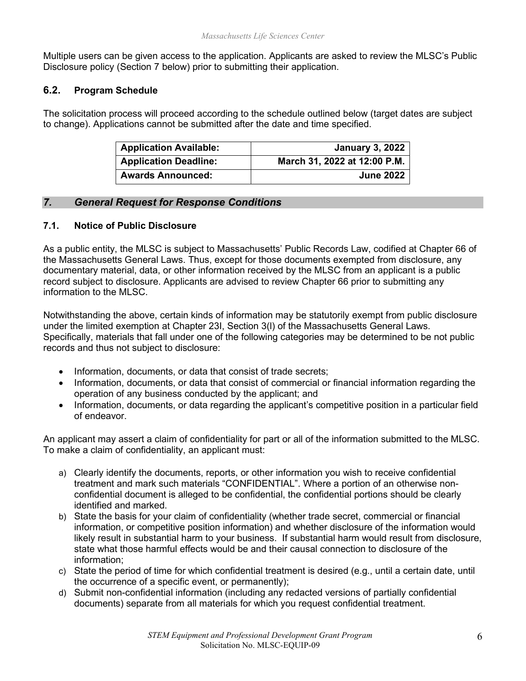Multiple users can be given access to the application. Applicants are asked to review the MLSC's Public Disclosure policy (Section 7 below) prior to submitting their application.

#### **6.2. Program Schedule**

The solicitation process will proceed according to the schedule outlined below (target dates are subject to change). Applications cannot be submitted after the date and time specified.

| <b>Application Available:</b> | <b>January 3, 2022</b>       |
|-------------------------------|------------------------------|
| <b>Application Deadline:</b>  | March 31, 2022 at 12:00 P.M. |
| <b>Awards Announced:</b>      | <b>June 2022</b>             |

#### *7. General Request for Response Conditions*

#### **7.1. Notice of Public Disclosure**

As a public entity, the MLSC is subject to Massachusetts' Public Records Law, codified at Chapter 66 of the Massachusetts General Laws. Thus, except for those documents exempted from disclosure, any documentary material, data, or other information received by the MLSC from an applicant is a public record subject to disclosure. Applicants are advised to review Chapter 66 prior to submitting any information to the MLSC.

Notwithstanding the above, certain kinds of information may be statutorily exempt from public disclosure under the limited exemption at Chapter 23I, Section 3(l) of the Massachusetts General Laws. Specifically, materials that fall under one of the following categories may be determined to be not public records and thus not subject to disclosure:

- Information, documents, or data that consist of trade secrets;
- Information, documents, or data that consist of commercial or financial information regarding the operation of any business conducted by the applicant; and
- Information, documents, or data regarding the applicant's competitive position in a particular field of endeavor.

An applicant may assert a claim of confidentiality for part or all of the information submitted to the MLSC. To make a claim of confidentiality, an applicant must:

- a) Clearly identify the documents, reports, or other information you wish to receive confidential treatment and mark such materials "CONFIDENTIAL". Where a portion of an otherwise nonconfidential document is alleged to be confidential, the confidential portions should be clearly identified and marked.
- b) State the basis for your claim of confidentiality (whether trade secret, commercial or financial information, or competitive position information) and whether disclosure of the information would likely result in substantial harm to your business. If substantial harm would result from disclosure, state what those harmful effects would be and their causal connection to disclosure of the information;
- c) State the period of time for which confidential treatment is desired (e.g., until a certain date, until the occurrence of a specific event, or permanently);
- d) Submit non-confidential information (including any redacted versions of partially confidential documents) separate from all materials for which you request confidential treatment.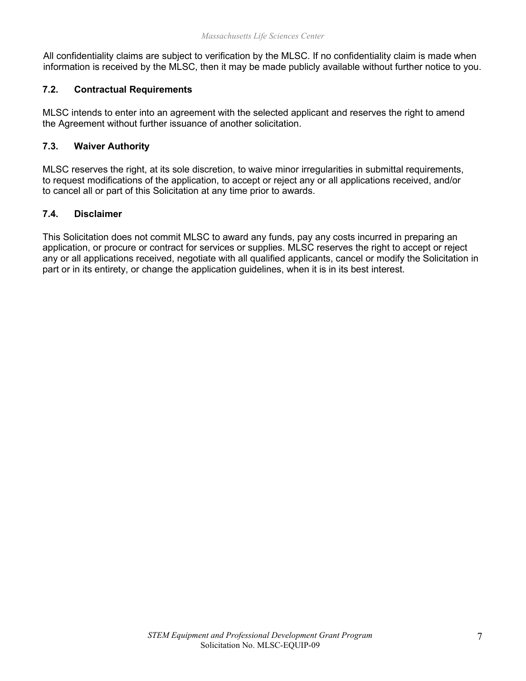All confidentiality claims are subject to verification by the MLSC. If no confidentiality claim is made when information is received by the MLSC, then it may be made publicly available without further notice to you.

#### **7.2. Contractual Requirements**

MLSC intends to enter into an agreement with the selected applicant and reserves the right to amend the Agreement without further issuance of another solicitation.

#### **7.3. Waiver Authority**

MLSC reserves the right, at its sole discretion, to waive minor irregularities in submittal requirements, to request modifications of the application, to accept or reject any or all applications received, and/or to cancel all or part of this Solicitation at any time prior to awards.

#### **7.4. Disclaimer**

This Solicitation does not commit MLSC to award any funds, pay any costs incurred in preparing an application, or procure or contract for services or supplies. MLSC reserves the right to accept or reject any or all applications received, negotiate with all qualified applicants, cancel or modify the Solicitation in part or in its entirety, or change the application guidelines, when it is in its best interest.